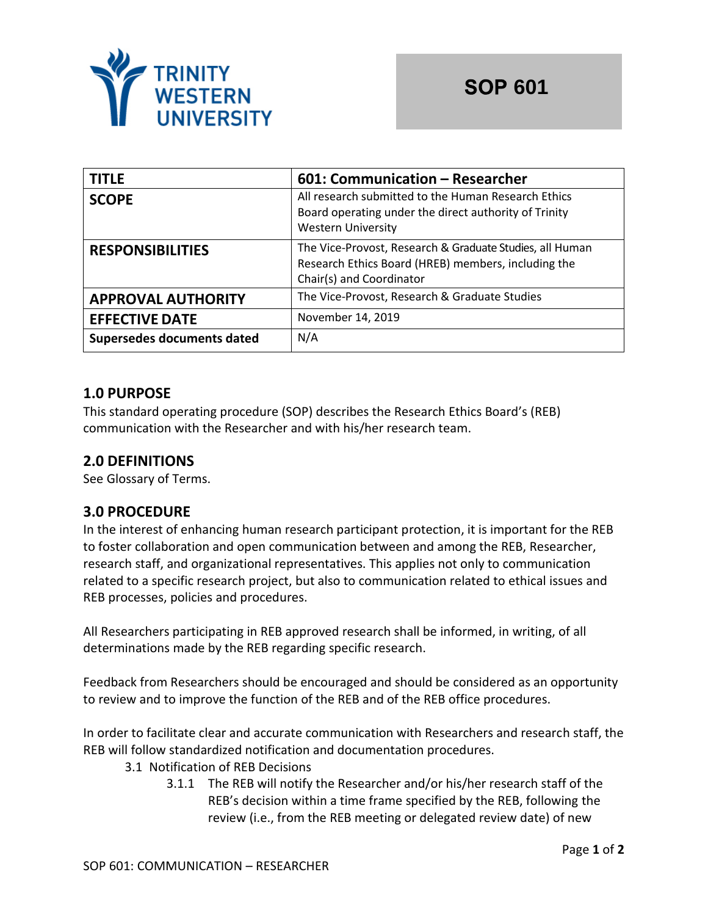

| <b>TITLE</b>               | 601: Communication – Researcher                                                                                                             |  |
|----------------------------|---------------------------------------------------------------------------------------------------------------------------------------------|--|
| <b>SCOPE</b>               | All research submitted to the Human Research Ethics<br>Board operating under the direct authority of Trinity<br><b>Western University</b>   |  |
| <b>RESPONSIBILITIES</b>    | The Vice-Provost, Research & Graduate Studies, all Human<br>Research Ethics Board (HREB) members, including the<br>Chair(s) and Coordinator |  |
| <b>APPROVAL AUTHORITY</b>  | The Vice-Provost, Research & Graduate Studies                                                                                               |  |
| <b>EFFECTIVE DATE</b>      | November 14, 2019                                                                                                                           |  |
| Supersedes documents dated | N/A                                                                                                                                         |  |

## **1.0 PURPOSE**

This standard operating procedure (SOP) describes the Research Ethics Board's (REB) communication with the Researcher and with his/her research team.

# **2.0 DEFINITIONS**

See Glossary of Terms.

### **3.0 PROCEDURE**

In the interest of enhancing human research participant protection, it is important for the REB to foster collaboration and open communication between and among the REB, Researcher, research staff, and organizational representatives. This applies not only to communication related to a specific research project, but also to communication related to ethical issues and REB processes, policies and procedures.

All Researchers participating in REB approved research shall be informed, in writing, of all determinations made by the REB regarding specific research.

Feedback from Researchers should be encouraged and should be considered as an opportunity to review and to improve the function of the REB and of the REB office procedures.

In order to facilitate clear and accurate communication with Researchers and research staff, the REB will follow standardized notification and documentation procedures.

- 3.1 Notification of REB Decisions
	- 3.1.1 The REB will notify the Researcher and/or his/her research staff of the REB's decision within a time frame specified by the REB, following the review (i.e., from the REB meeting or delegated review date) of new